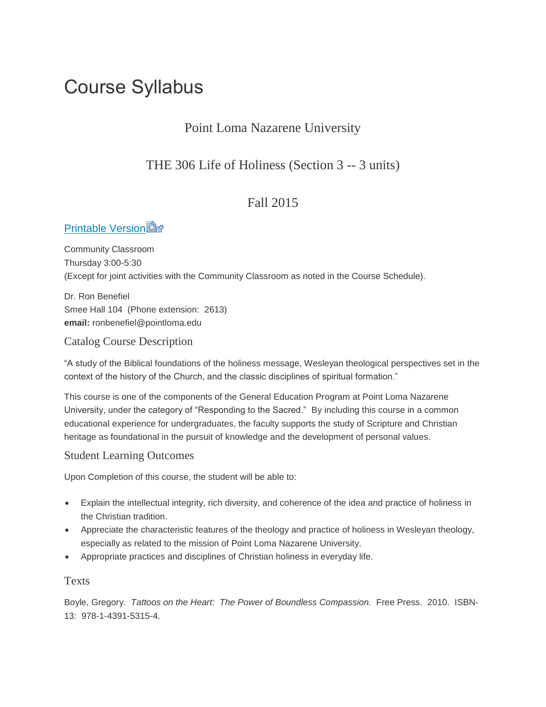# Course Syllabus

# Point Loma Nazarene University

# THE 306 Life of Holiness (Section 3 -- 3 units)

# Fall 2015

# **[Printable Version](https://canvas.pointloma.edu/courses/25877/files/508062/download?wrap=1)**

Community Classroom Thursday 3:00-5:30 (Except for joint activities with the Community Classroom as noted in the Course Schedule).

Dr. Ron Benefiel Smee Hall 104 (Phone extension: 2613) **email:** ronbenefiel@pointloma.edu

# Catalog Course Description

"A study of the Biblical foundations of the holiness message, Wesleyan theological perspectives set in the context of the history of the Church, and the classic disciplines of spiritual formation."

This course is one of the components of the General Education Program at Point Loma Nazarene University, under the category of "Responding to the Sacred." By including this course in a common educational experience for undergraduates, the faculty supports the study of Scripture and Christian heritage as foundational in the pursuit of knowledge and the development of personal values.

## Student Learning Outcomes

Upon Completion of this course, the student will be able to:

- Explain the intellectual integrity, rich diversity, and coherence of the idea and practice of holiness in the Christian tradition.
- Appreciate the characteristic features of the theology and practice of holiness in Wesleyan theology, especially as related to the mission of Point Loma Nazarene University.
- Appropriate practices and disciplines of Christian holiness in everyday life.

### Texts

Boyle, Gregory. *Tattoos on the Heart: The Power of Boundless Compassion.* Free Press. 2010. ISBN-13: 978-1-4391-5315-4.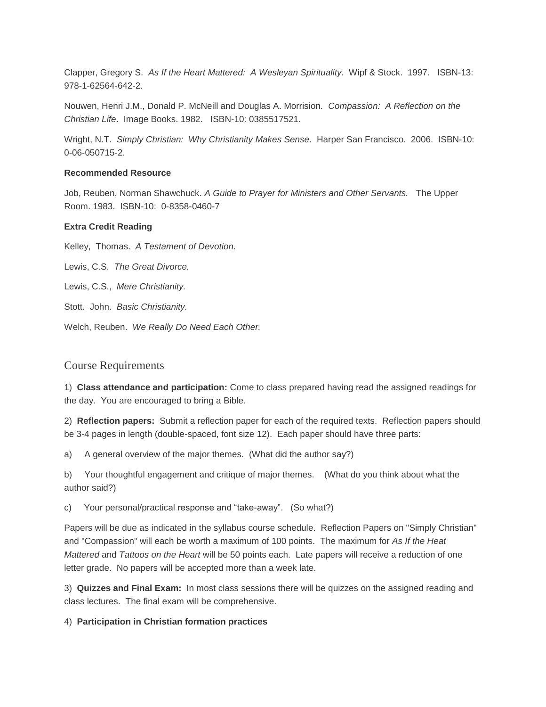Clapper, Gregory S. *As If the Heart Mattered: A Wesleyan Spirituality.* Wipf & Stock. 1997. ISBN-13: 978-1-62564-642-2.

Nouwen, Henri J.M., Donald P. McNeill and Douglas A. Morrision. *Compassion: A Reflection on the Christian Life*. Image Books. 1982. ISBN-10: 0385517521.

Wright, N.T. *Simply Christian: Why Christianity Makes Sense*. Harper San Francisco. 2006. ISBN-10: 0-06-050715-2.

#### **Recommended Resource**

Job, Reuben, Norman Shawchuck. *A Guide to Prayer for Ministers and Other Servants.* The Upper Room. 1983. ISBN-10: 0-8358-0460-7

#### **Extra Credit Reading**

Kelley, Thomas. *A Testament of Devotion.* 

Lewis, C.S. *The Great Divorce.* 

Lewis, C.S., *Mere Christianity.* 

Stott. John. *Basic Christianity.* 

Welch, Reuben. *We Really Do Need Each Other.*

#### Course Requirements

1) **Class attendance and participation:** Come to class prepared having read the assigned readings for the day. You are encouraged to bring a Bible.

2) **Reflection papers:** Submit a reflection paper for each of the required texts. Reflection papers should be 3-4 pages in length (double-spaced, font size 12). Each paper should have three parts:

a) A general overview of the major themes. (What did the author say?)

b) Your thoughtful engagement and critique of major themes. (What do you think about what the author said?)

c) Your personal/practical response and "take-away". (So what?)

Papers will be due as indicated in the syllabus course schedule. Reflection Papers on "Simply Christian" and "Compassion" will each be worth a maximum of 100 points. The maximum for *As If the Heat Mattered* and *Tattoos on the Heart* will be 50 points each. Late papers will receive a reduction of one letter grade. No papers will be accepted more than a week late.

3) **Quizzes and Final Exam:** In most class sessions there will be quizzes on the assigned reading and class lectures. The final exam will be comprehensive.

4) **Participation in Christian formation practices**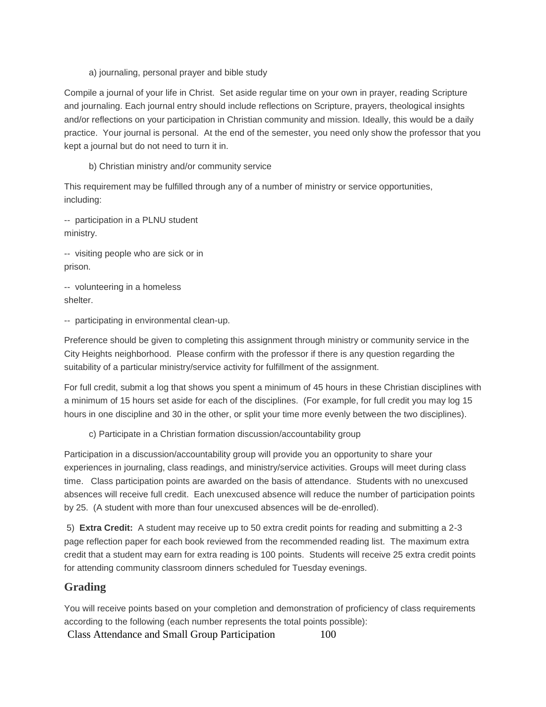a) journaling, personal prayer and bible study

Compile a journal of your life in Christ. Set aside regular time on your own in prayer, reading Scripture and journaling. Each journal entry should include reflections on Scripture, prayers, theological insights and/or reflections on your participation in Christian community and mission. Ideally, this would be a daily practice. Your journal is personal. At the end of the semester, you need only show the professor that you kept a journal but do not need to turn it in.

b) Christian ministry and/or community service

This requirement may be fulfilled through any of a number of ministry or service opportunities, including:

-- participation in a PLNU student ministry.

-- visiting people who are sick or in prison.

-- volunteering in a homeless shelter.

-- participating in environmental clean-up.

Preference should be given to completing this assignment through ministry or community service in the City Heights neighborhood. Please confirm with the professor if there is any question regarding the suitability of a particular ministry/service activity for fulfillment of the assignment.

For full credit, submit a log that shows you spent a minimum of 45 hours in these Christian disciplines with a minimum of 15 hours set aside for each of the disciplines. (For example, for full credit you may log 15 hours in one discipline and 30 in the other, or split your time more evenly between the two disciplines).

c) Participate in a Christian formation discussion/accountability group

Participation in a discussion/accountability group will provide you an opportunity to share your experiences in journaling, class readings, and ministry/service activities. Groups will meet during class time. Class participation points are awarded on the basis of attendance. Students with no unexcused absences will receive full credit. Each unexcused absence will reduce the number of participation points by 25. (A student with more than four unexcused absences will be de-enrolled).

5) **Extra Credit:** A student may receive up to 50 extra credit points for reading and submitting a 2-3 page reflection paper for each book reviewed from the recommended reading list. The maximum extra credit that a student may earn for extra reading is 100 points. Students will receive 25 extra credit points for attending community classroom dinners scheduled for Tuesday evenings.

## **Grading**

You will receive points based on your completion and demonstration of proficiency of class requirements according to the following (each number represents the total points possible):

Class Attendance and Small Group Participation 100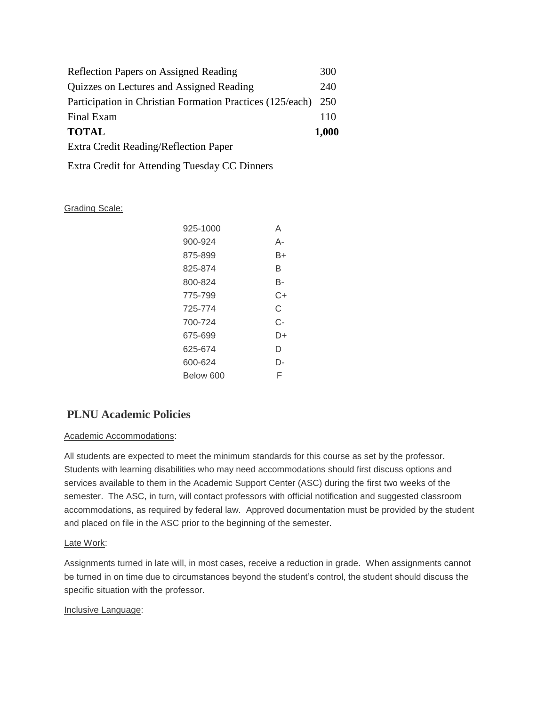| <b>Reflection Papers on Assigned Reading</b>              | 300   |  |
|-----------------------------------------------------------|-------|--|
| Quizzes on Lectures and Assigned Reading                  |       |  |
| Participation in Christian Formation Practices (125/each) |       |  |
| Final Exam                                                | 110   |  |
| <b>TOTAL</b>                                              | 1,000 |  |
| Extra Credit Reading/Reflection Paper                     |       |  |

Extra Credit for Attending Tuesday CC Dinners

#### Grading Scale:

| 925-1000  | А  |
|-----------|----|
| 900-924   | А- |
| 875-899   | B+ |
| 825-874   | B  |
| 800-824   | в- |
| 775-799   | C+ |
| 725-774   | C  |
| 700-724   | C- |
| 675-699   | D+ |
| 625-674   | D  |
| 600-624   | D- |
| Below 600 | F  |

# **PLNU Academic Policies**

#### Academic Accommodations:

All students are expected to meet the minimum standards for this course as set by the professor. Students with learning disabilities who may need accommodations should first discuss options and services available to them in the Academic Support Center (ASC) during the first two weeks of the semester. The ASC, in turn, will contact professors with official notification and suggested classroom accommodations, as required by federal law. Approved documentation must be provided by the student and placed on file in the ASC prior to the beginning of the semester.

#### Late Work:

Assignments turned in late will, in most cases, receive a reduction in grade. When assignments cannot be turned in on time due to circumstances beyond the student's control, the student should discuss the specific situation with the professor.

#### Inclusive Language: